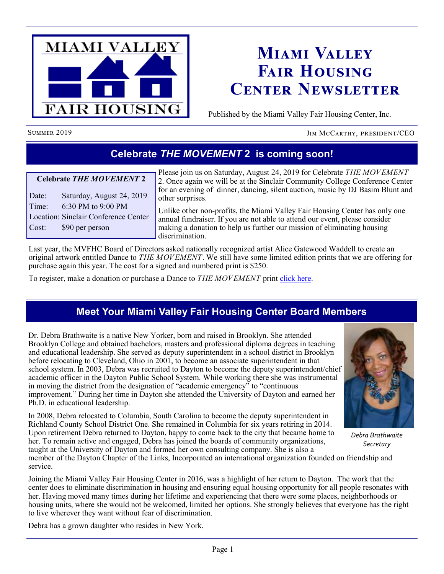

# **Miami Valley Fair Housing Center Newsletter**

Published by the Miami Valley Fair Housing Center, Inc.

SUMMER 2019 JIM MCCARTHY, PRESIDENT/CEO

### **Celebrate** *THE MOVEMENT* **2 is coming soon!**

#### **Celebrate** *THE MOVEMENT* **2**

Date: Saturday, August 24, 2019 Time: 6:30 PM to 9:00 PM Location: Sinclair Conference Center Cost: \$90 per person

Please join us on Saturday, August 24, 2019 for Celebrate *THE MOVEMENT* 2. Once again we will be at the Sinclair Community College Conference Center for an evening of dinner, dancing, silent auction, music by DJ Basim Blunt and other surprises.

Unlike other non-profits, the Miami Valley Fair Housing Center has only one annual fundraiser. If you are not able to attend our event, please consider making a donation to help us further our mission of eliminating housing discrimination.

Last year, the MVFHC Board of Directors asked nationally recognized artist Alice Gatewood Waddell to create an original artwork entitled Dance to *THE MOVEMENT*. We still have some limited edition prints that we are offering for purchase again this year. The cost for a signed and numbered print is \$250.

To register, make a donation or purchase a Dance to *THE MOVEMENT* print [click here.](http://mvfairhousing.com/ctm/)

# **Meet Your Miami Valley Fair Housing Center Board Members**

Dr. Debra Brathwaite is a native New Yorker, born and raised in Brooklyn. She attended Brooklyn College and obtained bachelors, masters and professional diploma degrees in teaching and educational leadership. She served as deputy superintendent in a school district in Brooklyn before relocating to Cleveland, Ohio in 2001, to become an associate superintendent in that school system. In 2003, Debra was recruited to Dayton to become the deputy superintendent/chief academic officer in the Dayton Public School System. While working there she was instrumental in moving the district from the designation of "academic emergency" to "continuous improvement." During her time in Dayton she attended the University of Dayton and earned her Ph.D. in educational leadership.

In 2008, Debra relocated to Columbia, South Carolina to become the deputy superintendent in Richland County School District One. She remained in Columbia for six years retiring in 2014. Upon retirement Debra returned to Dayton, happy to come back to the city that became home to her. To remain active and engaged, Debra has joined the boards of community organizations, taught at the University of Dayton and formed her own consulting company. She is also a



*Debra Brathwaite Secretary*

member of the Dayton Chapter of the Links, Incorporated an international organization founded on friendship and service.

Joining the Miami Valley Fair Housing Center in 2016, was a highlight of her return to Dayton. The work that the center does to eliminate discrimination in housing and ensuring equal housing opportunity for all people resonates with her. Having moved many times during her lifetime and experiencing that there were some places, neighborhoods or housing units, where she would not be welcomed, limited her options. She strongly believes that everyone has the right to live wherever they want without fear of discrimination.

Debra has a grown daughter who resides in New York.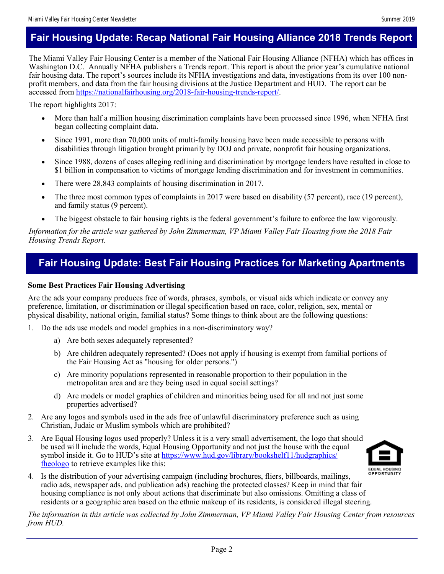### **Fair Housing Update: Recap National Fair Housing Alliance 2018 Trends Report**

The Miami Valley Fair Housing Center is a member of the National Fair Housing Alliance (NFHA) which has offices in Washington D.C. Annually NFHA publishers a Trends report. This report is about the prior year's cumulative national fair housing data. The report's sources include its NFHA investigations and data, investigations from its over 100 nonprofit members, and data from the fair housing divisions at the Justice Department and HUD. The report can be accessed from [https://nationalfairhousing.org/2018-fair-housing-trends-report/.](https://nationalfairhousing.org/2018-fair-housing-trends-report/) 

The report highlights 2017:

- More than half a million housing discrimination complaints have been processed since 1996, when NFHA first began collecting complaint data.
- Since 1991, more than 70,000 units of multi-family housing have been made accessible to persons with disabilities through litigation brought primarily by DOJ and private, nonprofit fair housing organizations.
- Since 1988, dozens of cases alleging redlining and discrimination by mortgage lenders have resulted in close to \$1 billion in compensation to victims of mortgage lending discrimination and for investment in communities.
- There were 28,843 complaints of housing discrimination in 2017.
- The three most common types of complaints in 2017 were based on disability (57 percent), race (19 percent), and family status (9 percent).
- The biggest obstacle to fair housing rights is the federal government's failure to enforce the law vigorously.

*Information for the article was gathered by John Zimmerman, VP Miami Valley Fair Housing from the 2018 Fair Housing Trends Report.* 

### **Fair Housing Update: Best Fair Housing Practices for Marketing Apartments**

#### **Some Best Practices Fair Housing Advertising**

Are the ads your company produces free of words, phrases, symbols, or visual aids which indicate or convey any preference, limitation, or discrimination or illegal specification based on race, color, religion, sex, mental or physical disability, national origin, familial status? Some things to think about are the following questions:

- 1. Do the ads use models and model graphics in a non-discriminatory way?
	- a) Are both sexes adequately represented?
	- b) Are children adequately represented? (Does not apply if housing is exempt from familial portions of the Fair Housing Act as "housing for older persons.")
	- c) Are minority populations represented in reasonable proportion to their population in the metropolitan area and are they being used in equal social settings?
	- d) Are models or model graphics of children and minorities being used for all and not just some properties advertised?
- 2. Are any logos and symbols used in the ads free of unlawful discriminatory preference such as using Christian, Judaic or Muslim symbols which are prohibited?
- 3. Are Equal Housing logos used properly? Unless it is a very small advertisement, the logo that should be used will include the words, Equal Housing Opportunity and not just the house with the equal symbol inside it. Go to HUD's site at [https://www.hud.gov/library/bookshelf11/hudgraphics/](https://www.hud.gov/library/bookshelf11/hudgraphics/fheologo) [fheologo](https://www.hud.gov/library/bookshelf11/hudgraphics/fheologo) to retrieve examples like this:



4. Is the distribution of your advertising campaign (including brochures, fliers, billboards, mailings, radio ads, newspaper ads, and publication ads) reaching the protected classes? Keep in mind that fair housing compliance is not only about actions that discriminate but also omissions. Omitting a class of residents or a geographic area based on the ethnic makeup of its residents, is considered illegal steering.

*The information in this article was collected by John Zimmerman, VP Miami Valley Fair Housing Center from resources from HUD.*